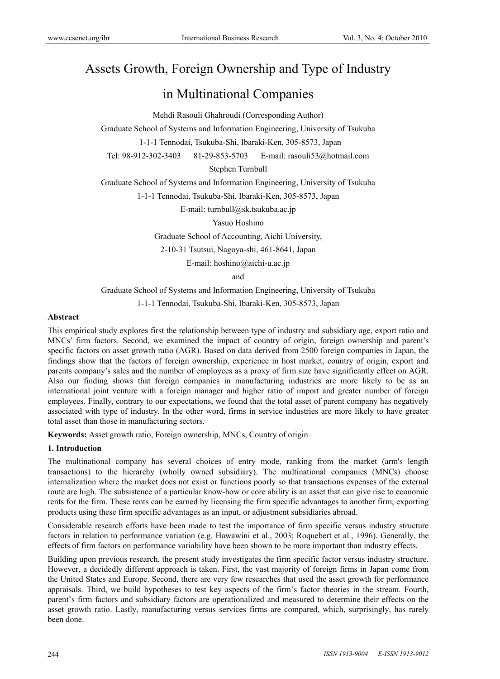# Assets Growth, Foreign Ownership and Type of Industry

## in Multinational Companies

Mehdi Rasouli Ghahroudi (Corresponding Author)

Graduate School of Systems and Information Engineering, University of Tsukuba

1-1-1 Tennodai, Tsukuba-Shi, Ibaraki-Ken, 305-8573, Japan

Tel: 98-912-302-3403 81-29-853-5703 E-mail: rasouli53@hotmail.com

Stephen Turnbull

Graduate School of Systems and Information Engineering, University of Tsukuba

1-1-1 Tennodai, Tsukuba-Shi, Ibaraki-Ken, 305-8573, Japan

E-mail: turnbull@sk.tsukuba.ac.jp

Yasuo Hoshino

Graduate School of Accounting, Aichi University,

2-10-31 Tsutsui, Nagoya-shi, 461-8641, Japan

E-mail: hoshino@aichi-u.ac.jp

and

Graduate School of Systems and Information Engineering, University of Tsukuba

1-1-1 Tennodai, Tsukuba-Shi, Ibaraki-Ken, 305-8573, Japan

#### **Abstract**

This empirical study explores first the relationship between type of industry and subsidiary age, export ratio and MNCs' firm factors. Second, we examined the impact of country of origin, foreign ownership and parent's specific factors on asset growth ratio (AGR). Based on data derived from 2500 foreign companies in Japan, the findings show that the factors of foreign ownership, experience in host market, country of origin, export and parents company's sales and the number of employees as a proxy of firm size have significantly effect on AGR. Also our finding shows that foreign companies in manufacturing industries are more likely to be as an international joint venture with a foreign manager and higher ratio of import and greater number of foreign employees. Finally, contrary to our expectations, we found that the total asset of parent company has negatively associated with type of industry. In the other word, firms in service industries are more likely to have greater total asset than those in manufacturing sectors.

**Keywords:** Asset growth ratio, Foreign ownership, MNCs, Country of origin

#### **1. Introduction**

The multinational company has several choices of entry mode, ranking from the market (arm's length transactions) to the hierarchy (wholly owned subsidiary). The multinational companies (MNCs) choose internalization where the market does not exist or functions poorly so that transactions expenses of the external route are high. The subsistence of a particular know-how or core ability is an asset that can give rise to economic rents for the firm. These rents can be earned by licensing the firm specific advantages to another firm, exporting products using these firm specific advantages as an input, or adjustment subsidiaries abroad.

Considerable research efforts have been made to test the importance of firm specific versus industry structure factors in relation to performance variation (e.g. Hawawini et al., 2003; Roquebert et al., 1996). Generally, the effects of firm factors on performance variability have been shown to be more important than industry effects.

Building upon previous research, the present study investigates the firm specific factor versus industry structure. However, a decidedly different approach is taken. First, the vast majority of foreign firms in Japan come from the United States and Europe. Second, there are very few researches that used the asset growth for performance appraisals. Third, we build hypotheses to test key aspects of the firm's factor theories in the stream. Fourth, parent's firm factors and subsidiary factors are operationalized and measured to determine their effects on the asset growth ratio. Lastly, manufacturing versus services firms are compared, which, surprisingly, has rarely been done.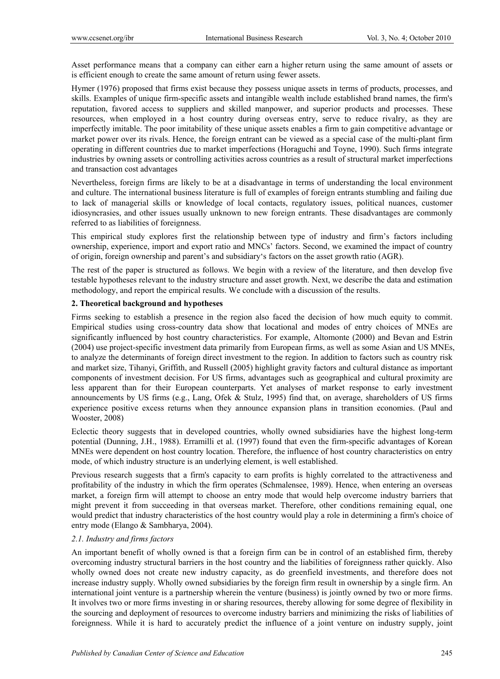Asset performance means that a company can either earn a higher return using the same amount of assets or is efficient enough to create the same amount of return using fewer assets.

Hymer (1976) proposed that firms exist because they possess unique assets in terms of products, processes, and skills. Examples of unique firm-specific assets and intangible wealth include established brand names, the firm's reputation, favored access to suppliers and skilled manpower, and superior products and processes. These resources, when employed in a host country during overseas entry, serve to reduce rivalry, as they are imperfectly imitable. The poor imitability of these unique assets enables a firm to gain competitive advantage or market power over its rivals. Hence, the foreign entrant can be viewed as a special case of the multi-plant firm operating in different countries due to market imperfections (Horaguchi and Toyne, 1990). Such firms integrate industries by owning assets or controlling activities across countries as a result of structural market imperfections and transaction cost advantages

Nevertheless, foreign firms are likely to be at a disadvantage in terms of understanding the local environment and culture. The international business literature is full of examples of foreign entrants stumbling and failing due to lack of managerial skills or knowledge of local contacts, regulatory issues, political nuances, customer idiosyncrasies, and other issues usually unknown to new foreign entrants. These disadvantages are commonly referred to as liabilities of foreignness.

This empirical study explores first the relationship between type of industry and firm's factors including ownership, experience, import and export ratio and MNCs' factors. Second, we examined the impact of country of origin, foreign ownership and parent's and subsidiary's factors on the asset growth ratio (AGR).

The rest of the paper is structured as follows. We begin with a review of the literature, and then develop five testable hypotheses relevant to the industry structure and asset growth. Next, we describe the data and estimation methodology, and report the empirical results. We conclude with a discussion of the results.

#### **2. Theoretical background and hypotheses**

Firms seeking to establish a presence in the region also faced the decision of how much equity to commit. Empirical studies using cross-country data show that locational and modes of entry choices of MNEs are significantly influenced by host country characteristics. For example, Altomonte (2000) and Bevan and Estrin (2004) use project-specific investment data primarily from European firms, as well as some Asian and US MNEs, to analyze the determinants of foreign direct investment to the region. In addition to factors such as country risk and market size, Tihanyi, Griffith, and Russell (2005) highlight gravity factors and cultural distance as important components of investment decision. For US firms, advantages such as geographical and cultural proximity are less apparent than for their European counterparts. Yet analyses of market response to early investment announcements by US firms (e.g., Lang, Ofek & Stulz, 1995) find that, on average, shareholders of US firms experience positive excess returns when they announce expansion plans in transition economies. (Paul and Wooster, 2008)

Eclectic theory suggests that in developed countries, wholly owned subsidiaries have the highest long-term potential (Dunning, J.H., 1988). Erramilli et al. (1997) found that even the firm-specific advantages of Korean MNEs were dependent on host country location. Therefore, the influence of host country characteristics on entry mode, of which industry structure is an underlying element, is well established.

Previous research suggests that a firm's capacity to earn profits is highly correlated to the attractiveness and profitability of the industry in which the firm operates (Schmalensee, 1989). Hence, when entering an overseas market, a foreign firm will attempt to choose an entry mode that would help overcome industry barriers that might prevent it from succeeding in that overseas market. Therefore, other conditions remaining equal, one would predict that industry characteristics of the host country would play a role in determining a firm's choice of entry mode (Elango & Sambharya, 2004).

#### *2.1. Industry and firms factors*

An important benefit of wholly owned is that a foreign firm can be in control of an established firm, thereby overcoming industry structural barriers in the host country and the liabilities of foreignness rather quickly. Also wholly owned does not create new industry capacity, as do greenfield investments, and therefore does not increase industry supply. Wholly owned subsidiaries by the foreign firm result in ownership by a single firm. An international joint venture is a partnership wherein the venture (business) is jointly owned by two or more firms. It involves two or more firms investing in or sharing resources, thereby allowing for some degree of flexibility in the sourcing and deployment of resources to overcome industry barriers and minimizing the risks of liabilities of foreignness. While it is hard to accurately predict the influence of a joint venture on industry supply, joint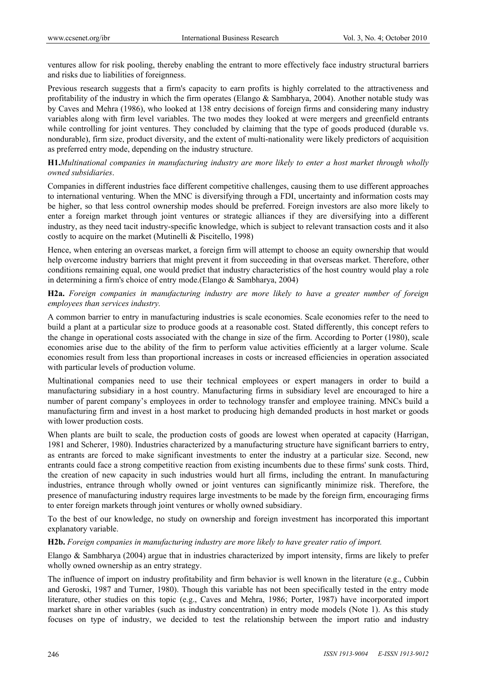ventures allow for risk pooling, thereby enabling the entrant to more effectively face industry structural barriers and risks due to liabilities of foreignness.

Previous research suggests that a firm's capacity to earn profits is highly correlated to the attractiveness and profitability of the industry in which the firm operates (Elango & Sambharya, 2004). Another notable study was by Caves and Mehra (1986), who looked at 138 entry decisions of foreign firms and considering many industry variables along with firm level variables. The two modes they looked at were mergers and greenfield entrants while controlling for joint ventures. They concluded by claiming that the type of goods produced (durable vs. nondurable), firm size, product diversity, and the extent of multi-nationality were likely predictors of acquisition as preferred entry mode, depending on the industry structure.

#### **H1.***Multinational companies in manufacturing industry are more likely to enter a host market through wholly owned subsidiaries*.

Companies in different industries face different competitive challenges, causing them to use different approaches to international venturing. When the MNC is diversifying through a FDI, uncertainty and information costs may be higher, so that less control ownership modes should be preferred. Foreign investors are also more likely to enter a foreign market through joint ventures or strategic alliances if they are diversifying into a different industry, as they need tacit industry-specific knowledge, which is subject to relevant transaction costs and it also costly to acquire on the market (Mutinelli & Piscitello, 1998)

Hence, when entering an overseas market, a foreign firm will attempt to choose an equity ownership that would help overcome industry barriers that might prevent it from succeeding in that overseas market. Therefore, other conditions remaining equal, one would predict that industry characteristics of the host country would play a role in determining a firm's choice of entry mode.(Elango & Sambharya, 2004)

#### **H2a.** *Foreign companies in manufacturing industry are more likely to have a greater number of foreign employees than services industry.*

A common barrier to entry in manufacturing industries is scale economies. Scale economies refer to the need to build a plant at a particular size to produce goods at a reasonable cost. Stated differently, this concept refers to the change in operational costs associated with the change in size of the firm. According to Porter (1980), scale economies arise due to the ability of the firm to perform value activities efficiently at a larger volume. Scale economies result from less than proportional increases in costs or increased efficiencies in operation associated with particular levels of production volume.

Multinational companies need to use their technical employees or expert managers in order to build a manufacturing subsidiary in a host country. Manufacturing firms in subsidiary level are encouraged to hire a number of parent company's employees in order to technology transfer and employee training. MNCs build a manufacturing firm and invest in a host market to producing high demanded products in host market or goods with lower production costs.

When plants are built to scale, the production costs of goods are lowest when operated at capacity (Harrigan, 1981 and Scherer, 1980). Industries characterized by a manufacturing structure have significant barriers to entry, as entrants are forced to make significant investments to enter the industry at a particular size. Second, new entrants could face a strong competitive reaction from existing incumbents due to these firms' sunk costs. Third, the creation of new capacity in such industries would hurt all firms, including the entrant. In manufacturing industries, entrance through wholly owned or joint ventures can significantly minimize risk. Therefore, the presence of manufacturing industry requires large investments to be made by the foreign firm, encouraging firms to enter foreign markets through joint ventures or wholly owned subsidiary.

To the best of our knowledge, no study on ownership and foreign investment has incorporated this important explanatory variable.

#### **H2b.** *Foreign companies in manufacturing industry are more likely to have greater ratio of import.*

Elango & Sambharya (2004) argue that in industries characterized by import intensity, firms are likely to prefer wholly owned ownership as an entry strategy.

The influence of import on industry profitability and firm behavior is well known in the literature (e.g., Cubbin and Geroski, 1987 and Turner, 1980). Though this variable has not been specifically tested in the entry mode literature, other studies on this topic (e.g., Caves and Mehra, 1986; Porter, 1987) have incorporated import market share in other variables (such as industry concentration) in entry mode models (Note 1). As this study focuses on type of industry, we decided to test the relationship between the import ratio and industry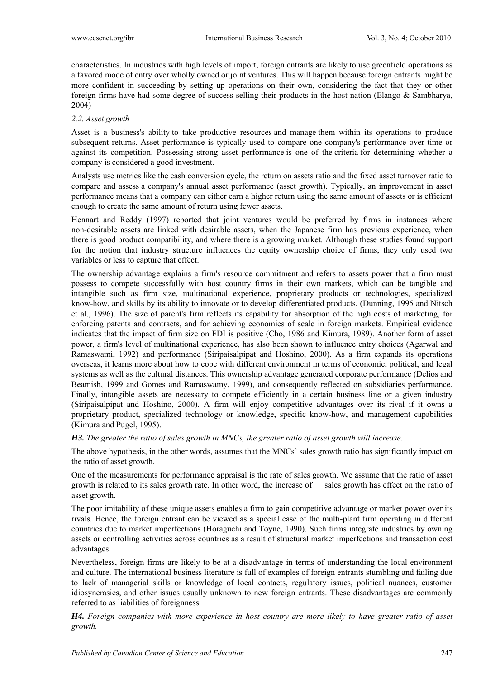characteristics. In industries with high levels of import, foreign entrants are likely to use greenfield operations as a favored mode of entry over wholly owned or joint ventures. This will happen because foreign entrants might be more confident in succeeding by setting up operations on their own, considering the fact that they or other foreign firms have had some degree of success selling their products in the host nation (Elango & Sambharya, 2004)

#### *2.2. Asset growth*

Asset is a business's ability to take productive resources and manage them within its operations to produce subsequent returns. Asset performance is typically used to compare one company's performance over time or against its competition. Possessing strong asset performance is one of the criteria for determining whether a company is considered a good investment.

Analysts use metrics like the cash conversion cycle, the return on assets ratio and the fixed asset turnover ratio to compare and assess a company's annual asset performance (asset growth). Typically, an improvement in asset performance means that a company can either earn a higher return using the same amount of assets or is efficient enough to create the same amount of return using fewer assets.

Hennart and Reddy (1997) reported that joint ventures would be preferred by firms in instances where non-desirable assets are linked with desirable assets, when the Japanese firm has previous experience, when there is good product compatibility, and where there is a growing market. Although these studies found support for the notion that industry structure influences the equity ownership choice of firms, they only used two variables or less to capture that effect.

The ownership advantage explains a firm's resource commitment and refers to assets power that a firm must possess to compete successfully with host country firms in their own markets, which can be tangible and intangible such as firm size, multinational experience, proprietary products or technologies, specialized know-how, and skills by its ability to innovate or to develop differentiated products, (Dunning, 1995 and Nitsch et al., 1996). The size of parent's firm reflects its capability for absorption of the high costs of marketing, for enforcing patents and contracts, and for achieving economies of scale in foreign markets. Empirical evidence indicates that the impact of firm size on FDI is positive (Cho, 1986 and Kimura, 1989). Another form of asset power, a firm's level of multinational experience, has also been shown to influence entry choices (Agarwal and Ramaswami, 1992) and performance (Siripaisalpipat and Hoshino, 2000). As a firm expands its operations overseas, it learns more about how to cope with different environment in terms of economic, political, and legal systems as well as the cultural distances. This ownership advantage generated corporate performance (Delios and Beamish, 1999 and Gomes and Ramaswamy, 1999), and consequently reflected on subsidiaries performance. Finally, intangible assets are necessary to compete efficiently in a certain business line or a given industry (Siripaisalpipat and Hoshino, 2000). A firm will enjoy competitive advantages over its rival if it owns a proprietary product, specialized technology or knowledge, specific know-how, and management capabilities (Kimura and Pugel, 1995).

*H3. The greater the ratio of sales growth in MNCs, the greater ratio of asset growth will increase.* 

The above hypothesis, in the other words, assumes that the MNCs' sales growth ratio has significantly impact on the ratio of asset growth.

One of the measurements for performance appraisal is the rate of sales growth. We assume that the ratio of asset growth is related to its sales growth rate. In other word, the increase of sales growth has effect on the ratio of asset growth.

The poor imitability of these unique assets enables a firm to gain competitive advantage or market power over its rivals. Hence, the foreign entrant can be viewed as a special case of the multi-plant firm operating in different countries due to market imperfections (Horaguchi and Toyne, 1990). Such firms integrate industries by owning assets or controlling activities across countries as a result of structural market imperfections and transaction cost advantages.

Nevertheless, foreign firms are likely to be at a disadvantage in terms of understanding the local environment and culture. The international business literature is full of examples of foreign entrants stumbling and failing due to lack of managerial skills or knowledge of local contacts, regulatory issues, political nuances, customer idiosyncrasies, and other issues usually unknown to new foreign entrants. These disadvantages are commonly referred to as liabilities of foreignness.

*H4. Foreign companies with more experience in host country are more likely to have greater ratio of asset growth.*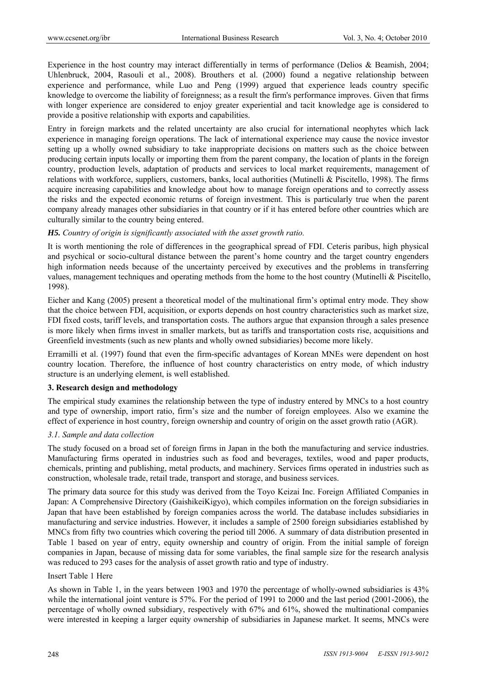Experience in the host country may interact differentially in terms of performance (Delios & Beamish, 2004; Uhlenbruck, 2004, Rasouli et al., 2008). Brouthers et al. (2000) found a negative relationship between experience and performance, while Luo and Peng (1999) argued that experience leads country specific knowledge to overcome the liability of foreignness; as a result the firm's performance improves. Given that firms with longer experience are considered to enjoy greater experiential and tacit knowledge age is considered to provide a positive relationship with exports and capabilities.

Entry in foreign markets and the related uncertainty are also crucial for international neophytes which lack experience in managing foreign operations. The lack of international experience may cause the novice investor setting up a wholly owned subsidiary to take inappropriate decisions on matters such as the choice between producing certain inputs locally or importing them from the parent company, the location of plants in the foreign country, production levels, adaptation of products and services to local market requirements, management of relations with workforce, suppliers, customers, banks, local authorities (Mutinelli & Piscitello, 1998). The firms acquire increasing capabilities and knowledge about how to manage foreign operations and to correctly assess the risks and the expected economic returns of foreign investment. This is particularly true when the parent company already manages other subsidiaries in that country or if it has entered before other countries which are culturally similar to the country being entered.

#### *H5. Country of origin is significantly associated with the asset growth ratio.*

It is worth mentioning the role of differences in the geographical spread of FDI. Ceteris paribus, high physical and psychical or socio-cultural distance between the parent's home country and the target country engenders high information needs because of the uncertainty perceived by executives and the problems in transferring values, management techniques and operating methods from the home to the host country (Mutinelli & Piscitello, 1998).

Eicher and Kang (2005) present a theoretical model of the multinational firm's optimal entry mode. They show that the choice between FDI, acquisition, or exports depends on host country characteristics such as market size, FDI fixed costs, tariff levels, and transportation costs. The authors argue that expansion through a sales presence is more likely when firms invest in smaller markets, but as tariffs and transportation costs rise, acquisitions and Greenfield investments (such as new plants and wholly owned subsidiaries) become more likely.

Erramilli et al. (1997) found that even the firm-specific advantages of Korean MNEs were dependent on host country location. Therefore, the influence of host country characteristics on entry mode, of which industry structure is an underlying element, is well established.

#### **3. Research design and methodology**

The empirical study examines the relationship between the type of industry entered by MNCs to a host country and type of ownership, import ratio, firm's size and the number of foreign employees. Also we examine the effect of experience in host country, foreign ownership and country of origin on the asset growth ratio (AGR).

#### *3.1. Sample and data collection*

The study focused on a broad set of foreign firms in Japan in the both the manufacturing and service industries. Manufacturing firms operated in industries such as food and beverages, textiles, wood and paper products, chemicals, printing and publishing, metal products, and machinery. Services firms operated in industries such as construction, wholesale trade, retail trade, transport and storage, and business services.

The primary data source for this study was derived from the Toyo Keizai Inc. Foreign Affiliated Companies in Japan: A Comprehensive Directory (GaishikeiKigyo), which compiles information on the foreign subsidiaries in Japan that have been established by foreign companies across the world. The database includes subsidiaries in manufacturing and service industries. However, it includes a sample of 2500 foreign subsidiaries established by MNCs from fifty two countries which covering the period till 2006. A summary of data distribution presented in Table 1 based on year of entry, equity ownership and country of origin. From the initial sample of foreign companies in Japan, because of missing data for some variables, the final sample size for the research analysis was reduced to 293 cases for the analysis of asset growth ratio and type of industry.

#### Insert Table 1 Here

As shown in Table 1, in the years between 1903 and 1970 the percentage of wholly-owned subsidiaries is 43% while the international joint venture is 57%. For the period of 1991 to 2000 and the last period (2001-2006), the percentage of wholly owned subsidiary, respectively with 67% and 61%, showed the multinational companies were interested in keeping a larger equity ownership of subsidiaries in Japanese market. It seems, MNCs were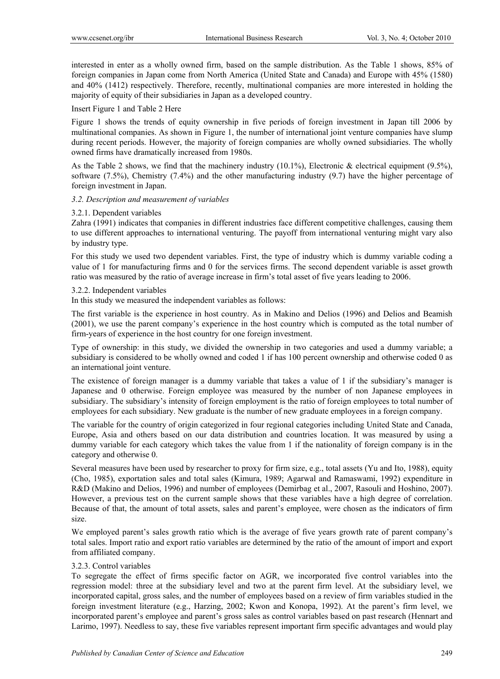interested in enter as a wholly owned firm, based on the sample distribution. As the Table 1 shows, 85% of foreign companies in Japan come from North America (United State and Canada) and Europe with 45% (1580) and 40% (1412) respectively. Therefore, recently, multinational companies are more interested in holding the majority of equity of their subsidiaries in Japan as a developed country.

Insert Figure 1 and Table 2 Here

Figure 1 shows the trends of equity ownership in five periods of foreign investment in Japan till 2006 by multinational companies. As shown in Figure 1, the number of international joint venture companies have slump during recent periods. However, the majority of foreign companies are wholly owned subsidiaries. The wholly owned firms have dramatically increased from 1980s.

As the Table 2 shows, we find that the machinery industry (10.1%), Electronic & electrical equipment (9.5%), software (7.5%), Chemistry (7.4%) and the other manufacturing industry (9.7) have the higher percentage of foreign investment in Japan.

#### *3.2. Description and measurement of variables*

#### 3.2.1. Dependent variables

Zahra (1991) indicates that companies in different industries face different competitive challenges, causing them to use different approaches to international venturing. The payoff from international venturing might vary also by industry type.

For this study we used two dependent variables. First, the type of industry which is dummy variable coding a value of 1 for manufacturing firms and 0 for the services firms. The second dependent variable is asset growth ratio was measured by the ratio of average increase in firm's total asset of five years leading to 2006.

#### 3.2.2. Independent variables

In this study we measured the independent variables as follows:

The first variable is the experience in host country. As in Makino and Delios (1996) and Delios and Beamish (2001), we use the parent company's experience in the host country which is computed as the total number of firm-years of experience in the host country for one foreign investment.

Type of ownership: in this study, we divided the ownership in two categories and used a dummy variable; a subsidiary is considered to be wholly owned and coded 1 if has 100 percent ownership and otherwise coded 0 as an international joint venture.

The existence of foreign manager is a dummy variable that takes a value of 1 if the subsidiary's manager is Japanese and 0 otherwise. Foreign employee was measured by the number of non Japanese employees in subsidiary. The subsidiary's intensity of foreign employment is the ratio of foreign employees to total number of employees for each subsidiary. New graduate is the number of new graduate employees in a foreign company.

The variable for the country of origin categorized in four regional categories including United State and Canada, Europe, Asia and others based on our data distribution and countries location. It was measured by using a dummy variable for each category which takes the value from 1 if the nationality of foreign company is in the category and otherwise 0.

Several measures have been used by researcher to proxy for firm size, e.g., total assets (Yu and Ito, 1988), equity (Cho, 1985), exportation sales and total sales (Kimura, 1989; Agarwal and Ramaswami, 1992) expenditure in R&D (Makino and Delios, 1996) and number of employees (Demirbag et al., 2007, Rasouli and Hoshino, 2007). However, a previous test on the current sample shows that these variables have a high degree of correlation. Because of that, the amount of total assets, sales and parent's employee, were chosen as the indicators of firm size.

We employed parent's sales growth ratio which is the average of five years growth rate of parent company's total sales. Import ratio and export ratio variables are determined by the ratio of the amount of import and export from affiliated company.

#### 3.2.3. Control variables

To segregate the effect of firms specific factor on AGR, we incorporated five control variables into the regression model: three at the subsidiary level and two at the parent firm level. At the subsidiary level, we incorporated capital, gross sales, and the number of employees based on a review of firm variables studied in the foreign investment literature (e.g., Harzing, 2002; Kwon and Konopa, 1992). At the parent's firm level, we incorporated parent's employee and parent's gross sales as control variables based on past research (Hennart and Larimo, 1997). Needless to say, these five variables represent important firm specific advantages and would play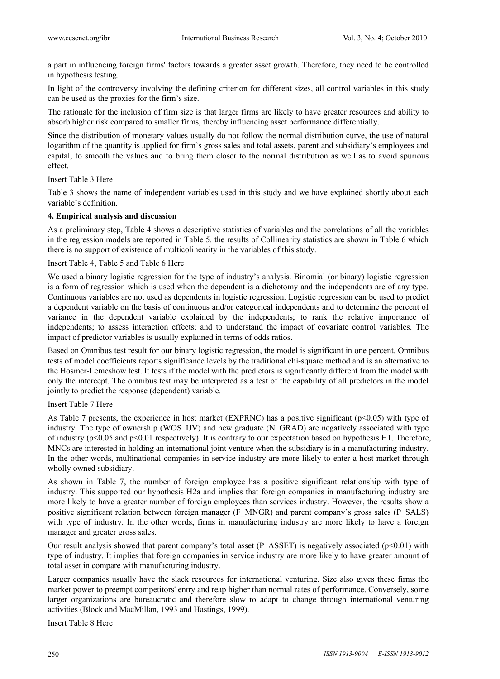a part in influencing foreign firms' factors towards a greater asset growth. Therefore, they need to be controlled in hypothesis testing.

In light of the controversy involving the defining criterion for different sizes, all control variables in this study can be used as the proxies for the firm's size.

The rationale for the inclusion of firm size is that larger firms are likely to have greater resources and ability to absorb higher risk compared to smaller firms, thereby influencing asset performance differentially.

Since the distribution of monetary values usually do not follow the normal distribution curve, the use of natural logarithm of the quantity is applied for firm's gross sales and total assets, parent and subsidiary's employees and capital; to smooth the values and to bring them closer to the normal distribution as well as to avoid spurious effect.

Insert Table 3 Here

Table 3 shows the name of independent variables used in this study and we have explained shortly about each variable's definition.

#### **4. Empirical analysis and discussion**

As a preliminary step, Table 4 shows a descriptive statistics of variables and the correlations of all the variables in the regression models are reported in Table 5. the results of Collinearity statistics are shown in Table 6 which there is no support of existence of multicolinearity in the variables of this study.

Insert Table 4, Table 5 and Table 6 Here

We used a binary logistic regression for the type of industry's analysis. Binomial (or binary) logistic regression is a form of regression which is used when the dependent is a dichotomy and the independents are of any type. Continuous variables are not used as dependents in logistic regression. Logistic regression can be used to predict a dependent variable on the basis of continuous and/or categorical independents and to determine the percent of variance in the dependent variable explained by the independents; to rank the relative importance of independents; to assess interaction effects; and to understand the impact of covariate control variables. The impact of predictor variables is usually explained in terms of odds ratios.

Based on Omnibus test result for our binary logistic regression, the model is significant in one percent. Omnibus tests of model coefficients reports significance levels by the traditional chi-square method and is an alternative to the Hosmer-Lemeshow test. It tests if the model with the predictors is significantly different from the model with only the intercept. The omnibus test may be interpreted as a test of the capability of all predictors in the model jointly to predict the response (dependent) variable.

#### Insert Table 7 Here

As Table 7 presents, the experience in host market (EXPRNC) has a positive significant (p<0.05) with type of industry. The type of ownership (WOS\_IJV) and new graduate (N\_GRAD) are negatively associated with type of industry (p<0.05 and p<0.01 respectively). It is contrary to our expectation based on hypothesis H1. Therefore, MNCs are interested in holding an international joint venture when the subsidiary is in a manufacturing industry. In the other words, multinational companies in service industry are more likely to enter a host market through wholly owned subsidiary.

As shown in Table 7, the number of foreign employee has a positive significant relationship with type of industry. This supported our hypothesis H2a and implies that foreign companies in manufacturing industry are more likely to have a greater number of foreign employees than services industry. However, the results show a positive significant relation between foreign manager (F\_MNGR) and parent company's gross sales (P\_SALS) with type of industry. In the other words, firms in manufacturing industry are more likely to have a foreign manager and greater gross sales.

Our result analysis showed that parent company's total asset (P\_ASSET) is negatively associated ( $p<0.01$ ) with type of industry. It implies that foreign companies in service industry are more likely to have greater amount of total asset in compare with manufacturing industry.

Larger companies usually have the slack resources for international venturing. Size also gives these firms the market power to preempt competitors' entry and reap higher than normal rates of performance. Conversely, some larger organizations are bureaucratic and therefore slow to adapt to change through international venturing activities (Block and MacMillan, 1993 and Hastings, 1999).

Insert Table 8 Here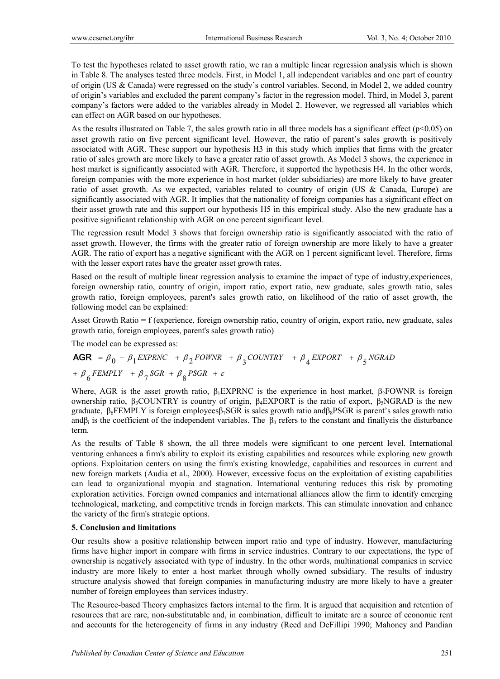To test the hypotheses related to asset growth ratio, we ran a multiple linear regression analysis which is shown in Table 8. The analyses tested three models. First, in Model 1, all independent variables and one part of country of origin (US & Canada) were regressed on the study's control variables. Second, in Model 2, we added country of origin's variables and excluded the parent company's factor in the regression model. Third, in Model 3, parent company's factors were added to the variables already in Model 2. However, we regressed all variables which can effect on AGR based on our hypotheses.

As the results illustrated on Table 7, the sales growth ratio in all three models has a significant effect ( $p<0.05$ ) on asset growth ratio on five percent significant level. However, the ratio of parent's sales growth is positively associated with AGR. These support our hypothesis H3 in this study which implies that firms with the greater ratio of sales growth are more likely to have a greater ratio of asset growth. As Model 3 shows, the experience in host market is significantly associated with AGR. Therefore, it supported the hypothesis H4. In the other words, foreign companies with the more experience in host market (older subsidiaries) are more likely to have greater ratio of asset growth. As we expected, variables related to country of origin (US & Canada, Europe) are significantly associated with AGR. It implies that the nationality of foreign companies has a significant effect on their asset growth rate and this support our hypothesis H5 in this empirical study. Also the new graduate has a positive significant relationship with AGR on one percent significant level.

The regression result Model 3 shows that foreign ownership ratio is significantly associated with the ratio of asset growth. However, the firms with the greater ratio of foreign ownership are more likely to have a greater AGR. The ratio of export has a negative significant with the AGR on 1 percent significant level. Therefore, firms with the lesser export rates have the greater asset growth rates.

Based on the result of multiple linear regression analysis to examine the impact of type of industry,experiences, foreign ownership ratio, country of origin, import ratio, export ratio, new graduate, sales growth ratio, sales growth ratio, foreign employees, parent's sales growth ratio, on likelihood of the ratio of asset growth, the following model can be explained:

Asset Growth Ratio = f (experience, foreign ownership ratio, country of origin, export ratio, new graduate, sales growth ratio, foreign employees, parent's sales growth ratio)

The model can be expressed as:

$$
AGR = \beta_0 + \beta_1 EXPRNC + \beta_2 FOWNR + \beta_3 COUNTRY + \beta_4 EXPORT + \beta_5 NGRAD
$$
  
+  $\beta_6 FEMPLY + \beta_7 SGR + \beta_8 PSGR + \varepsilon$ 

Where, AGR is the asset growth ratio,  $\beta_1$ EXPRNC is the experience in host market,  $\beta_2$ FOWNR is foreign ownership ratio,  $β_3$ COUNTRY is country of origin,  $β_4$ EXPORT is the ratio of export,  $β_5$ NGRAD is the new graduate,  $\beta_6$ FEMPLY is foreign employees $\beta_7$ SGR is sales growth ratio and $\beta_8$ PSGR is parent's sales growth ratio and $\beta_i$  is the coefficient of the independent variables. The  $\beta_0$  refers to the constant and finally eis the disturbance term.

As the results of Table 8 shown, the all three models were significant to one percent level. International venturing enhances a firm's ability to exploit its existing capabilities and resources while exploring new growth options. Exploitation centers on using the firm's existing knowledge, capabilities and resources in current and new foreign markets (Audia et al., 2000). However, excessive focus on the exploitation of existing capabilities can lead to organizational myopia and stagnation. International venturing reduces this risk by promoting exploration activities. Foreign owned companies and international alliances allow the firm to identify emerging technological, marketing, and competitive trends in foreign markets. This can stimulate innovation and enhance the variety of the firm's strategic options.

#### **5. Conclusion and limitations**

Our results show a positive relationship between import ratio and type of industry. However, manufacturing firms have higher import in compare with firms in service industries. Contrary to our expectations, the type of ownership is negatively associated with type of industry. In the other words, multinational companies in service industry are more likely to enter a host market through wholly owned subsidiary. The results of industry structure analysis showed that foreign companies in manufacturing industry are more likely to have a greater number of foreign employees than services industry.

The Resource-based Theory emphasizes factors internal to the firm. It is argued that acquisition and retention of resources that are rare, non-substitutable and, in combination, difficult to imitate are a source of economic rent and accounts for the heterogeneity of firms in any industry (Reed and DeFillipi 1990; Mahoney and Pandian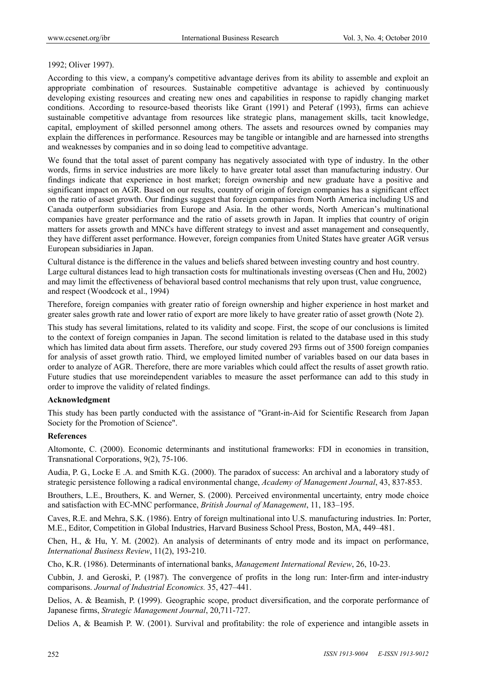#### 1992; Oliver 1997).

According to this view, a company's competitive advantage derives from its ability to assemble and exploit an appropriate combination of resources. Sustainable competitive advantage is achieved by continuously developing existing resources and creating new ones and capabilities in response to rapidly changing market conditions. According to resource-based theorists like Grant (1991) and Peteraf (1993), firms can achieve sustainable competitive advantage from resources like strategic plans, management skills, tacit knowledge, capital, employment of skilled personnel among others. The assets and resources owned by companies may explain the differences in performance. Resources may be tangible or intangible and are harnessed into strengths and weaknesses by companies and in so doing lead to competitive advantage.

We found that the total asset of parent company has negatively associated with type of industry. In the other words, firms in service industries are more likely to have greater total asset than manufacturing industry. Our findings indicate that experience in host market; foreign ownership and new graduate have a positive and significant impact on AGR. Based on our results, country of origin of foreign companies has a significant effect on the ratio of asset growth. Our findings suggest that foreign companies from North America including US and Canada outperform subsidiaries from Europe and Asia. In the other words, North American's multinational companies have greater performance and the ratio of assets growth in Japan. It implies that country of origin matters for assets growth and MNCs have different strategy to invest and asset management and consequently, they have different asset performance. However, foreign companies from United States have greater AGR versus European subsidiaries in Japan.

Cultural distance is the difference in the values and beliefs shared between investing country and host country. Large cultural distances lead to high transaction costs for multinationals investing overseas (Chen and Hu, 2002) and may limit the effectiveness of behavioral based control mechanisms that rely upon trust, value congruence, and respect (Woodcock et al., 1994)

Therefore, foreign companies with greater ratio of foreign ownership and higher experience in host market and greater sales growth rate and lower ratio of export are more likely to have greater ratio of asset growth (Note 2).

This study has several limitations, related to its validity and scope. First, the scope of our conclusions is limited to the context of foreign companies in Japan. The second limitation is related to the database used in this study which has limited data about firm assets. Therefore, our study covered 293 firms out of 3500 foreign companies for analysis of asset growth ratio. Third, we employed limited number of variables based on our data bases in order to analyze of AGR. Therefore, there are more variables which could affect the results of asset growth ratio. Future studies that use moreindependent variables to measure the asset performance can add to this study in order to improve the validity of related findings.

#### **Acknowledgment**

This study has been partly conducted with the assistance of "Grant-in-Aid for Scientific Research from Japan Society for the Promotion of Science".

#### **References**

Altomonte, C. (2000). Economic determinants and institutional frameworks: FDI in economies in transition, Transnational Corporations, 9(2), 75-106.

Audia, P. G., Locke E .A. and Smith K.G.. (2000). The paradox of success: An archival and a laboratory study of strategic persistence following a radical environmental change, *Academy of Management Journal*, 43, 837-853.

Brouthers, L.E., Brouthers, K. and Werner, S. (2000). Perceived environmental uncertainty, entry mode choice and satisfaction with EC-MNC performance, *British Journal of Management*, 11, 183–195.

Caves, R.E. and Mehra, S.K. (1986). Entry of foreign multinational into U.S. manufacturing industries. In: Porter, M.E., Editor, Competition in Global Industries, Harvard Business School Press, Boston, MA, 449–481.

Chen, H., & Hu, Y. M. (2002). An analysis of determinants of entry mode and its impact on performance, *International Business Review*, 11(2), 193-210.

Cho, K.R. (1986). Determinants of international banks, *Management International Review*, 26, 10-23.

Cubbin, J. and Geroski, P. (1987). The convergence of profits in the long run: Inter-firm and inter-industry comparisons. *Journal of Industrial Economics.* 35, 427–441.

Delios, A. & Beamish, P. (1999). Geographic scope, product diversification, and the corporate performance of Japanese firms, *Strategic Management Journal*, 20,711-727.

Delios A, & Beamish P. W. (2001). Survival and profitability: the role of experience and intangible assets in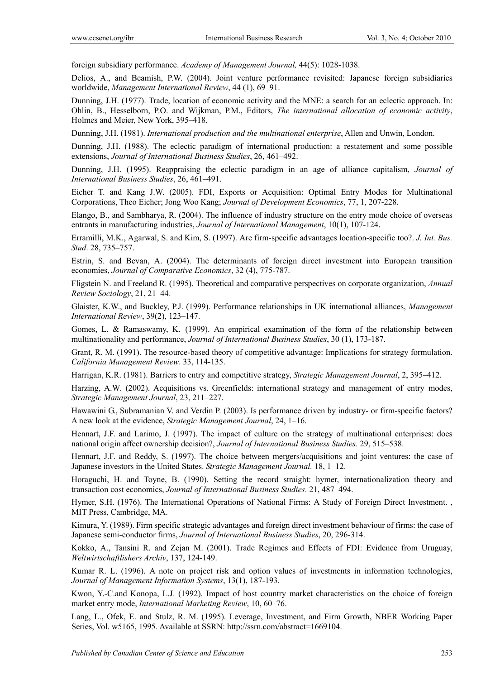foreign subsidiary performance. *Academy of Management Journal,* 44(5): 1028-1038.

Delios, A., and Beamish, P.W. (2004). Joint venture performance revisited: Japanese foreign subsidiaries worldwide, *Management International Review*, 44 (1), 69–91.

Dunning, J.H. (1977). Trade, location of economic activity and the MNE: a search for an eclectic approach. In: Ohlin, B., Hesselborn, P.O. and Wijkman, P.M., Editors, *The international allocation of economic activity*, Holmes and Meier, New York, 395–418.

Dunning, J.H. (1981). *International production and the multinational enterprise*, Allen and Unwin, London.

Dunning, J.H. (1988). The eclectic paradigm of international production: a restatement and some possible extensions, *Journal of International Business Studies*, 26, 461–492.

Dunning, J.H. (1995). Reappraising the eclectic paradigm in an age of alliance capitalism, *Journal of International Business Studies*, 26, 461–491.

Eicher T. and Kang J.W. (2005). FDI, Exports or Acquisition: Optimal Entry Modes for Multinational Corporations, Theo Eicher; Jong Woo Kang; *Journal of Development Economics*, 77, 1, 207-228.

Elango, B., and Sambharya, R. (2004). The influence of industry structure on the entry mode choice of overseas entrants in manufacturing industries, *Journal of International Management*, 10(1), 107-124.

Erramilli, M.K., Agarwal, S. and Kim, S. (1997). Are firm-specific advantages location-specific too?. *J. Int. Bus. Stud*. 28, 735–757.

Estrin, S. and Bevan, A. (2004). The determinants of foreign direct investment into European transition economies, *Journal of Comparative Economics*, 32 (4), 775-787.

Fligstein N. and Freeland R. (1995). Theoretical and comparative perspectives on corporate organization, *Annual Review Sociology*, 21, 21–44.

Glaister, K.W., and Buckley, P.J. (1999). Performance relationships in UK international alliances, *Management International Review*, 39(2), 123–147.

Gomes, L. & Ramaswamy, K. (1999). An empirical examination of the form of the relationship between multinationality and performance, *Journal of International Business Studies*, 30 (1), 173-187.

Grant, R. M. (1991). The resource-based theory of competitive advantage: Implications for strategy formulation. *California Management Review*. 33, 114-135.

Harrigan, K.R. (1981). Barriers to entry and competitive strategy, *Strategic Management Journal*, 2, 395–412.

Harzing, A.W. (2002). Acquisitions vs. Greenfields: international strategy and management of entry modes, *Strategic Management Journal*, 23, 211–227.

Hawawini G., Subramanian V. and Verdin P. (2003). Is performance driven by industry- or firm-specific factors? A new look at the evidence, *Strategic Management Journal*, 24, 1–16.

Hennart, J.F. and Larimo, J. (1997). The impact of culture on the strategy of multinational enterprises: does national origin affect ownership decision?, *Journal of International Business Studies*. 29, 515–538.

Hennart, J.F. and Reddy, S. (1997). The choice between mergers/acquisitions and joint ventures: the case of Japanese investors in the United States. *Strategic Management Journal.* 18, 1–12.

Horaguchi, H. and Toyne, B. (1990). Setting the record straight: hymer, internationalization theory and transaction cost economics, *Journal of International Business Studies*. 21, 487–494.

Hymer, S.H. (1976). The International Operations of National Firms: A Study of Foreign Direct Investment. , MIT Press, Cambridge, MA.

Kimura, Y. (1989). Firm specific strategic advantages and foreign direct investment behaviour of firms: the case of Japanese semi-conductor firms, *Journal of International Business Studies*, 20, 296-314.

Kokko, A., Tansini R. and Zejan M. (2001). Trade Regimes and Effects of FDI: Evidence from Uruguay, *Weltwirtschaftlishers Archiv*, 137, 124-149.

Kumar R. L. (1996). A note on project risk and option values of investments in information technologies, *Journal of Management Information Systems*, 13(1), 187-193.

Kwon, Y.-C.and Konopa, L.J. (1992). Impact of host country market characteristics on the choice of foreign market entry mode, *International Marketing Review*, 10, 60–76.

Lang, L., Ofek, E. and Stulz, R. M. (1995). Leverage, Investment, and Firm Growth, NBER Working Paper Series, Vol. w5165, 1995. Available at SSRN: http://ssrn.com/abstract=1669104.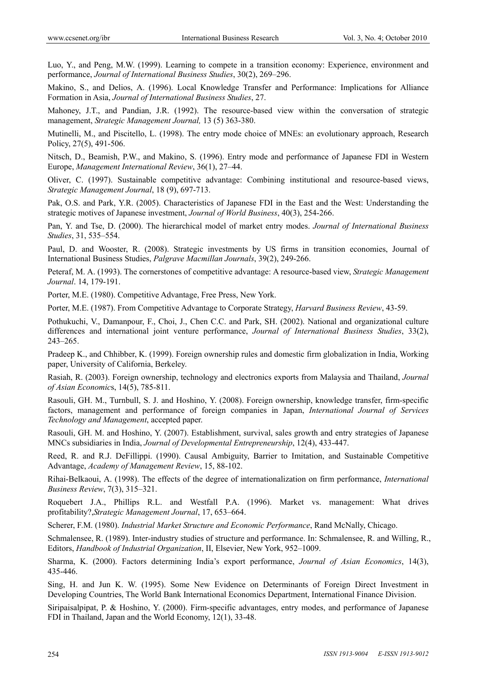Luo, Y., and Peng, M.W. (1999). Learning to compete in a transition economy: Experience, environment and performance, *Journal of International Business Studies*, 30(2), 269–296.

Makino, S., and Delios, A. (1996). Local Knowledge Transfer and Performance: Implications for Alliance Formation in Asia, *Journal of International Business Studies*, 27.

Mahoney, J.T., and Pandian, J.R. (1992). The resource-based view within the conversation of strategic management, *Strategic Management Journal,* 13 (5) 363-380.

Mutinelli, M., and Piscitello, L. (1998). The entry mode choice of MNEs: an evolutionary approach, Research Policy, 27(5), 491-506.

Nitsch, D., Beamish, P.W., and Makino, S. (1996). Entry mode and performance of Japanese FDI in Western Europe, *Management International Review*, 36(1), 27–44.

Oliver, C. (1997). Sustainable competitive advantage: Combining institutional and resource-based views, *Strategic Management Journal*, 18 (9), 697-713.

Pak, O.S. and Park, Y.R. (2005). Characteristics of Japanese FDI in the East and the West: Understanding the strategic motives of Japanese investment, *Journal of World Business*, 40(3), 254-266.

Pan, Y. and Tse, D. (2000). The hierarchical model of market entry modes. *Journal of International Business Studies*, 31, 535–554.

Paul, D. and Wooster, R. (2008). Strategic investments by US firms in transition economies, Journal of International Business Studies, *Palgrave Macmillan Journals*, 39(2), 249-266.

Peteraf, M. A. (1993). The cornerstones of competitive advantage: A resource-based view, *Strategic Management Journal*. 14, 179-191.

Porter, M.E. (1980). Competitive Advantage, Free Press, New York.

Porter, M.E. (1987). From Competitive Advantage to Corporate Strategy, *Harvard Business Review*, 43-59.

Pothukuchi, V., Damanpour, F., Choi, J., Chen C.C. and Park, SH. (2002). National and organizational culture differences and international joint venture performance, *Journal of International Business Studies*, 33(2), 243–265.

Pradeep K., and Chhibber, K. (1999). Foreign ownership rules and domestic firm globalization in India, Working paper, University of California, Berkeley.

Rasiah, R. (2003). Foreign ownership, technology and electronics exports from Malaysia and Thailand, *Journal of Asian Economic*s, 14(5), 785-811.

Rasouli, GH. M., Turnbull, S. J. and Hoshino, Y. (2008). Foreign ownership, knowledge transfer, firm-specific factors, management and performance of foreign companies in Japan, *International Journal of Services Technology and Management*, accepted paper.

Rasouli, GH. M. and Hoshino, Y. (2007). Establishment, survival, sales growth and entry strategies of Japanese MNCs subsidiaries in India, *Journal of Developmental Entrepreneurship*, 12(4), 433-447.

Reed, R. and R.J. DeFillippi. (1990). Causal Ambiguity, Barrier to Imitation, and Sustainable Competitive Advantage, *Academy of Management Review*, 15, 88-102.

Rihai-Belkaoui, A. (1998). The effects of the degree of internationalization on firm performance, *International Business Review*, 7(3), 315–321.

Roquebert J.A., Phillips R.L. and Westfall P.A. (1996). Market vs. management: What drives profitability?,*Strategic Management Journal*, 17, 653–664.

Scherer, F.M. (1980). *Industrial Market Structure and Economic Performance*, Rand McNally, Chicago.

Schmalensee, R. (1989). Inter-industry studies of structure and performance. In: Schmalensee, R. and Willing, R., Editors, *Handbook of Industrial Organization*, II, Elsevier, New York, 952–1009.

Sharma, K. (2000). Factors determining India's export performance, *Journal of Asian Economics*, 14(3), 435-446.

Sing, H. and Jun K. W. (1995). Some New Evidence on Determinants of Foreign Direct Investment in Developing Countries, The World Bank International Economics Department, International Finance Division.

Siripaisalpipat, P. & Hoshino, Y. (2000). Firm-specific advantages, entry modes, and performance of Japanese FDI in Thailand, Japan and the World Economy, 12(1), 33-48.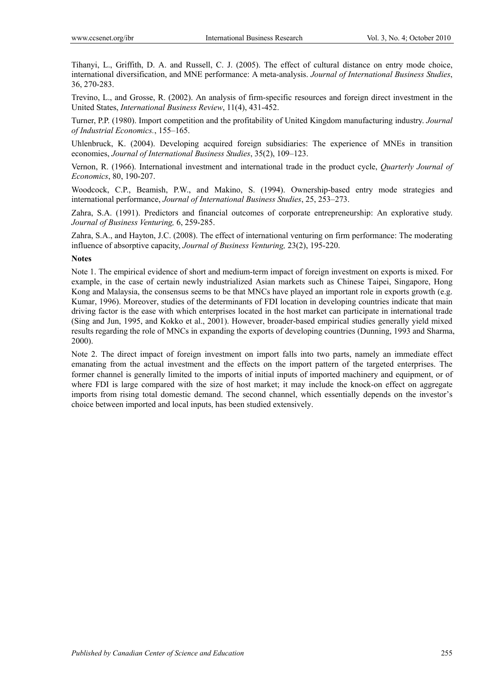Tihanyi, L., Griffith, D. A. and Russell, C. J. (2005). The effect of cultural distance on entry mode choice, international diversification, and MNE performance: A meta-analysis. *Journal of International Business Studies*, 36, 270-283.

Trevino, L., and Grosse, R. (2002). An analysis of firm-specific resources and foreign direct investment in the United States, *International Business Review*, 11(4), 431-452.

Turner, P.P. (1980). Import competition and the profitability of United Kingdom manufacturing industry. *Journal of Industrial Economics.*, 155–165.

Uhlenbruck, K. (2004). Developing acquired foreign subsidiaries: The experience of MNEs in transition economies, *Journal of International Business Studies*, 35(2), 109–123.

Vernon, R. (1966). International investment and international trade in the product cycle, *Quarterly Journal of Economics*, 80, 190-207.

Woodcock, C.P., Beamish, P.W., and Makino, S. (1994). Ownership-based entry mode strategies and international performance, *Journal of International Business Studies*, 25, 253–273.

Zahra, S.A. (1991). Predictors and financial outcomes of corporate entrepreneurship: An explorative study. *Journal of Business Venturing,* 6, 259-285.

Zahra, S.A., and Hayton, J.C. (2008). The effect of international venturing on firm performance: The moderating influence of absorptive capacity, *Journal of Business Venturing,* 23(2), 195-220.

#### **Notes**

Note 1. The empirical evidence of short and medium-term impact of foreign investment on exports is mixed. For example, in the case of certain newly industrialized Asian markets such as Chinese Taipei, Singapore, Hong Kong and Malaysia, the consensus seems to be that MNCs have played an important role in exports growth (e.g. Kumar, 1996). Moreover, studies of the determinants of FDI location in developing countries indicate that main driving factor is the ease with which enterprises located in the host market can participate in international trade (Sing and Jun, 1995, and Kokko et al., 2001). However, broader-based empirical studies generally yield mixed results regarding the role of MNCs in expanding the exports of developing countries (Dunning, 1993 and Sharma, 2000).

Note 2. The direct impact of foreign investment on import falls into two parts, namely an immediate effect emanating from the actual investment and the effects on the import pattern of the targeted enterprises. The former channel is generally limited to the imports of initial inputs of imported machinery and equipment, or of where FDI is large compared with the size of host market; it may include the knock-on effect on aggregate imports from rising total domestic demand. The second channel, which essentially depends on the investor's choice between imported and local inputs, has been studied extensively.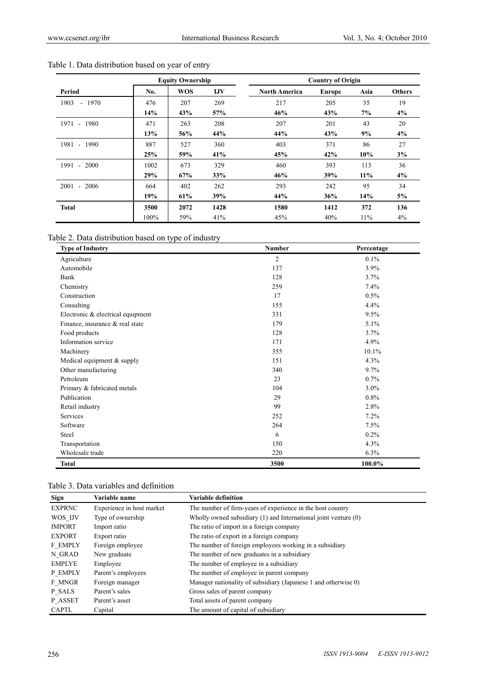|                 |      | <b>Equity Ownership</b> |            | <b>Country of Origin</b> |               |      |               |  |  |  |  |
|-----------------|------|-------------------------|------------|--------------------------|---------------|------|---------------|--|--|--|--|
| Period          | No.  | <b>WOS</b>              | <b>IJV</b> | <b>North America</b>     | <b>Europe</b> | Asia | <b>Others</b> |  |  |  |  |
| $-1970$<br>1903 | 476  | 207                     | 269        | 217                      | 205           | 35   | 19            |  |  |  |  |
|                 | 14%  | 43%                     | 57%        | 46%                      | 43%           | 7%   | 4%            |  |  |  |  |
| $-1980$<br>1971 | 471  | 263                     | 208        | 207                      | 201           | 43   | 20            |  |  |  |  |
|                 | 13%  | 56%                     | 44%        | 44%                      | 43%           | 9%   | 4%            |  |  |  |  |
| $-1990$<br>1981 | 887  | 527                     | 360        | 403                      | 371           | 86   | 27            |  |  |  |  |
|                 | 25%  | 59%                     | 41%        | 45%                      | 42%           | 10%  | 3%            |  |  |  |  |
| 1991 - 2000     | 1002 | 673                     | 329        | 460                      | 393           | 113  | 36            |  |  |  |  |
|                 | 29%  | 67%                     | 33%        | 46%                      | 39%           | 11%  | 4%            |  |  |  |  |
| $2001 - 2006$   | 664  | 402                     | 262        | 293                      | 242           | 95   | 34            |  |  |  |  |
|                 | 19%  | 61%                     | 39%        | 44%                      | 36%           | 14%  | 5%            |  |  |  |  |
| <b>Total</b>    | 3500 | 2072                    | 1428       | 1580                     | 1412          | 372  | 136           |  |  |  |  |
|                 | 100% | 59%                     | 41%        | 45%                      | 40%           | 11%  | 4%            |  |  |  |  |

## Table 1. Data distribution based on year of entry

#### Table 2. Data distribution based on type of industry

| <b>Type of Industry</b>           | <b>Number</b> | Percentage |
|-----------------------------------|---------------|------------|
| Agriculture                       | 2             | 0.1%       |
| Automobile                        | 137           | 3.9%       |
| Bank                              | 128           | 3.7%       |
| Chemistry                         | 259           | 7.4%       |
| Construction                      | 17            | 0.5%       |
| Consulting                        | 155           | 4.4%       |
| Electronic & electrical equipment | 331           | 9.5%       |
| Finance, insurance & real state   | 179           | 5.1%       |
| Food products                     | 128           | 3.7%       |
| Information service               | 171           | 4.9%       |
| Machinery                         | 355           | 10.1%      |
| Medical equipment & supply        | 151           | 4.3%       |
| Other manufacturing               | 340           | 9.7%       |
| Petroleum                         | 23            | 0.7%       |
| Primary & fabricated metals       | 104           | 3.0%       |
| Publication                       | 29            | $0.8\%$    |
| Retail industry                   | 99            | 2.8%       |
| Services                          | 252           | 7.2%       |
| Software                          | 264           | 7.5%       |
| Steel                             | 6             | $0.2\%$    |
| Transportation                    | 150           | 4.3%       |
| Wholesale trade                   | 220           | 6.3%       |
| <b>Total</b>                      | 3500          | 100.0%     |

|  | Table 3. Data variables and definition |
|--|----------------------------------------|
|  |                                        |

| Sign           | Variable name             | <b>Variable definition</b>                                          |
|----------------|---------------------------|---------------------------------------------------------------------|
| <b>EXPRNC</b>  | Experience in host market | The number of firm-years of experience in the host country          |
| WOS IJV        | Type of ownership         | Wholly owned subsidiary $(1)$ and International joint venture $(0)$ |
| <b>IMPORT</b>  | Import ratio              | The ratio of import in a foreign company                            |
| <b>EXPORT</b>  | Export ratio              | The ratio of export in a foreign company                            |
| <b>F EMPLY</b> | Foreign employee          | The number of foreign employees working in a subsidiary             |
| N GRAD         | New graduate              | The number of new graduates in a subsidiary                         |
| <b>EMPLYE</b>  | Employee                  | The number of employee in a subsidiary                              |
| P EMPLY        | Parent's employees        | The number of employee in parent company                            |
| F MNGR         | Foreign manager           | Manager nationality of subsidiary (Japanese 1 and otherwise 0)      |
| P SALS         | Parent's sales            | Gross sales of parent company                                       |
| P ASSET        | Parent's asset            | Total assets of parent company                                      |
| <b>CAPTL</b>   | Capital                   | The amount of capital of subsidiary                                 |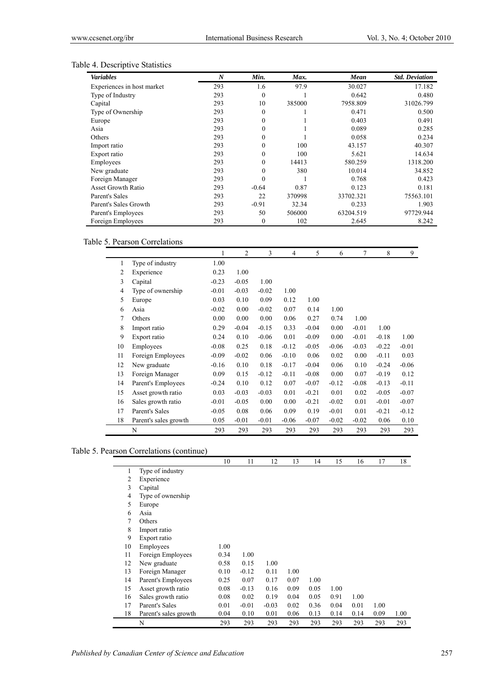# Table 4. Descriptive Statistics

| <b>Variables</b>           | $\boldsymbol{N}$ | Min.     | Max.   | Mean      | <b>Std. Deviation</b> |
|----------------------------|------------------|----------|--------|-----------|-----------------------|
| Experiences in host market | 293              | 1.6      | 97.9   | 30.027    | 17.182                |
| Type of Industry           | 293              | $\theta$ |        | 0.642     | 0.480                 |
| Capital                    | 293              | 10       | 385000 | 7958.809  | 31026.799             |
| Type of Ownership          | 293              | $\theta$ |        | 0.471     | 0.500                 |
| Europe                     | 293              | $\theta$ |        | 0.403     | 0.491                 |
| Asia                       | 293              | $\theta$ |        | 0.089     | 0.285                 |
| Others                     | 293              | $\theta$ |        | 0.058     | 0.234                 |
| Import ratio               | 293              | $\theta$ | 100    | 43.157    | 40.307                |
| Export ratio               | 293              | $\theta$ | 100    | 5.621     | 14.634                |
| Employees                  | 293              | $\theta$ | 14413  | 580.259   | 1318.200              |
| New graduate               | 293              | $\theta$ | 380    | 10.014    | 34.852                |
| Foreign Manager            | 293              | $\Omega$ |        | 0.768     | 0.423                 |
| Asset Growth Ratio         | 293              | $-0.64$  | 0.87   | 0.123     | 0.181                 |
| Parent's Sales             | 293              | 22       | 370998 | 33702.321 | 75563.101             |
| Parent's Sales Growth      | 293              | $-0.91$  | 32.34  | 0.233     | 1.903                 |
| Parent's Employees         | 293              | 50       | 506000 | 63204.519 | 97729.944             |
| Foreign Employees          | 293              | 0        | 102    | 2.645     | 8.242                 |

## Table 5. Pearson Correlations

|    |                       | 1       | $\overline{2}$ | 3       | 4       | 5       | 6       | 7       | 8       | 9       |
|----|-----------------------|---------|----------------|---------|---------|---------|---------|---------|---------|---------|
| 1  | Type of industry      | 1.00    |                |         |         |         |         |         |         |         |
| 2  | Experience            | 0.23    | 1.00           |         |         |         |         |         |         |         |
| 3  | Capital               | $-0.23$ | $-0.05$        | 1.00    |         |         |         |         |         |         |
| 4  | Type of ownership     | $-0.01$ | $-0.03$        | $-0.02$ | 1.00    |         |         |         |         |         |
| 5  | Europe                | 0.03    | 0.10           | 0.09    | 0.12    | 1.00    |         |         |         |         |
| 6  | Asia                  | $-0.02$ | 0.00           | $-0.02$ | 0.07    | 0.14    | 1.00    |         |         |         |
| 7  | Others                | 0.00    | 0.00           | 0.00    | 0.06    | 0.27    | 0.74    | 1.00    |         |         |
| 8  | Import ratio          | 0.29    | $-0.04$        | $-0.15$ | 0.33    | $-0.04$ | 0.00    | $-0.01$ | 1.00    |         |
| 9  | Export ratio          | 0.24    | 0.10           | $-0.06$ | 0.01    | $-0.09$ | 0.00    | $-0.01$ | $-0.18$ | 1.00    |
| 10 | Employees             | $-0.08$ | 0.25           | 0.18    | $-0.12$ | $-0.05$ | $-0.06$ | $-0.03$ | $-0.22$ | $-0.01$ |
| 11 | Foreign Employees     | $-0.09$ | $-0.02$        | 0.06    | $-0.10$ | 0.06    | 0.02    | 0.00    | $-0.11$ | 0.03    |
| 12 | New graduate          | $-0.16$ | 0.10           | 0.18    | $-0.17$ | $-0.04$ | 0.06    | 0.10    | $-0.24$ | $-0.06$ |
| 13 | Foreign Manager       | 0.09    | 0.15           | $-0.12$ | $-0.11$ | $-0.08$ | 0.00    | 0.07    | $-0.19$ | 0.12    |
| 14 | Parent's Employees    | $-0.24$ | 0.10           | 0.12    | 0.07    | $-0.07$ | $-0.12$ | $-0.08$ | $-0.13$ | $-0.11$ |
| 15 | Asset growth ratio    | 0.03    | $-0.03$        | $-0.03$ | 0.01    | $-0.21$ | 0.01    | 0.02    | $-0.05$ | $-0.07$ |
| 16 | Sales growth ratio    | $-0.01$ | $-0.05$        | 0.00    | 0.00    | $-0.21$ | $-0.02$ | 0.01    | $-0.01$ | $-0.07$ |
| 17 | Parent's Sales        | $-0.05$ | 0.08           | 0.06    | 0.09    | 0.19    | $-0.01$ | 0.01    | $-0.21$ | $-0.12$ |
| 18 | Parent's sales growth | 0.05    | $-0.01$        | $-0.01$ | $-0.06$ | $-0.07$ | $-0.02$ | $-0.02$ | 0.06    | 0.10    |
|    | N                     | 293     | 293            | 293     | 293     | 293     | 293     | 293     | 293     | 293     |

|  |  | Table 5. Pearson Correlations (continue) |  |  |
|--|--|------------------------------------------|--|--|
|--|--|------------------------------------------|--|--|

|    |                       | 10   | 11      | 12      | 13   | 14   | 15   | 16   | 17   | 18   |
|----|-----------------------|------|---------|---------|------|------|------|------|------|------|
| 1  | Type of industry      |      |         |         |      |      |      |      |      |      |
| 2  | Experience            |      |         |         |      |      |      |      |      |      |
| 3  | Capital               |      |         |         |      |      |      |      |      |      |
| 4  | Type of ownership     |      |         |         |      |      |      |      |      |      |
| 5  | Europe                |      |         |         |      |      |      |      |      |      |
| 6  | Asia                  |      |         |         |      |      |      |      |      |      |
| 7  | Others                |      |         |         |      |      |      |      |      |      |
| 8  | Import ratio          |      |         |         |      |      |      |      |      |      |
| 9  | Export ratio          |      |         |         |      |      |      |      |      |      |
| 10 | Employees             | 1.00 |         |         |      |      |      |      |      |      |
| 11 | Foreign Employees     | 0.34 | 1.00    |         |      |      |      |      |      |      |
| 12 | New graduate          | 0.58 | 0.15    | 1.00    |      |      |      |      |      |      |
| 13 | Foreign Manager       | 0.10 | $-0.12$ | 0.11    | 1.00 |      |      |      |      |      |
| 14 | Parent's Employees    | 0.25 | 0.07    | 0.17    | 0.07 | 1.00 |      |      |      |      |
| 15 | Asset growth ratio    | 0.08 | $-0.13$ | 0.16    | 0.09 | 0.05 | 1.00 |      |      |      |
| 16 | Sales growth ratio    | 0.08 | 0.02    | 0.19    | 0.04 | 0.05 | 0.91 | 1.00 |      |      |
| 17 | Parent's Sales        | 0.01 | $-0.01$ | $-0.03$ | 0.02 | 0.36 | 0.04 | 0.01 | 1.00 |      |
| 18 | Parent's sales growth | 0.04 | 0.10    | 0.01    | 0.06 | 0.13 | 0.14 | 0.14 | 0.09 | 1.00 |
|    | N                     | 293  | 293     | 293     | 293  | 293  | 293  | 293  | 293  | 293  |

#### *Published by Canadian Center of Science and Education* 257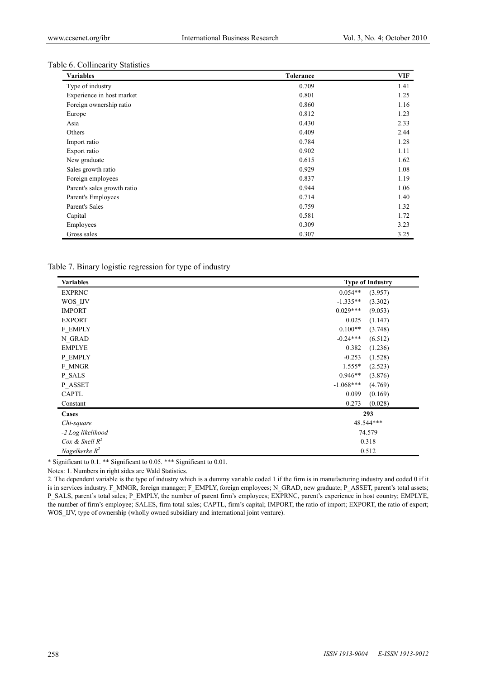| <b>Variables</b>            | <b>Tolerance</b> | <b>VIF</b> |
|-----------------------------|------------------|------------|
| Type of industry            | 0.709            | 1.41       |
| Experience in host market   | 0.801            | 1.25       |
| Foreign ownership ratio     | 0.860            | 1.16       |
| Europe                      | 0.812            | 1.23       |
| Asia                        | 0.430            | 2.33       |
| Others                      | 0.409            | 2.44       |
| Import ratio                | 0.784            | 1.28       |
| Export ratio                | 0.902            | 1.11       |
| New graduate                | 0.615            | 1.62       |
| Sales growth ratio          | 0.929            | 1.08       |
| Foreign employees           | 0.837            | 1.19       |
| Parent's sales growth ratio | 0.944            | 1.06       |
| Parent's Employees          | 0.714            | 1.40       |
| Parent's Sales              | 0.759            | 1.32       |
| Capital                     | 0.581            | 1.72       |
| Employees                   | 0.309            | 3.23       |
| Gross sales                 | 0.307            | 3.25       |

Table 7. Binary logistic regression for type of industry

| <b>Variables</b>  | <b>Type of Industry</b> |
|-------------------|-------------------------|
| <b>EXPRNC</b>     | $0.054**$<br>(3.957)    |
| WOS IJV           | $-1.335**$<br>(3.302)   |
| <b>IMPORT</b>     | $0.029***$<br>(9.053)   |
| <b>EXPORT</b>     | 0.025<br>(1.147)        |
| <b>F EMPLY</b>    | $0.100**$<br>(3.748)    |
| N GRAD            | $-0.24***$<br>(6.512)   |
| <b>EMPLYE</b>     | 0.382<br>(1.236)        |
| P EMPLY           | $-0.253$<br>(1.528)     |
| F MNGR            | $1.555*$<br>(2.523)     |
| P SALS            | $0.946**$<br>(3.876)    |
| P ASSET           | $-1.068***$<br>(4.769)  |
| <b>CAPTL</b>      | 0.099<br>(0.169)        |
| Constant          | 0.273<br>(0.028)        |
| Cases             | 293                     |
| Chi-square        | 48.544***               |
| -2 Log likelihood | 74.579                  |
| Cox & Snell $R^2$ | 0.318                   |
| Nagelkerke $R^2$  | 0.512                   |

\* Significant to 0.1. \*\* Significant to 0.05. \*\*\* Significant to 0.01.

Notes: 1. Numbers in right sides are Wald Statistics.

2. The dependent variable is the type of industry which is a dummy variable coded 1 if the firm is in manufacturing industry and coded 0 if it is in services industry. F\_MNGR, foreign manager; F\_EMPLY, foreign employees; N\_GRAD, new graduate; P\_ASSET, parent's total assets; P\_SALS, parent's total sales; P\_EMPLY, the number of parent firm's employees; EXPRNC, parent's experience in host country; EMPLYE, the number of firm's employee; SALES, firm total sales; CAPTL, firm's capital; IMPORT, the ratio of import; EXPORT, the ratio of export; WOS\_IJV, type of ownership (wholly owned subsidiary and international joint venture).